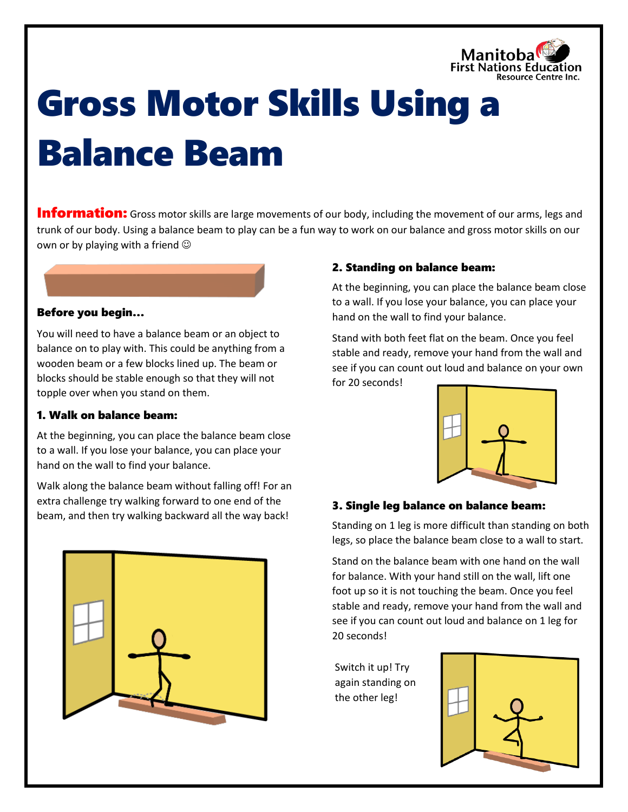

# Gross Motor Skills Using a Balance Beam

**Information:** Gross motor skills are large movements of our body, including the movement of our arms, legs and trunk of our body. Using a balance beam to play can be a fun way to work on our balance and gross motor skills on our own or by playing with a friend  $\odot$ 

## Before you begin…

You will need to have a balance beam or an object to balance on to play with. This could be anything from a wooden beam or a few blocks lined up. The beam or blocks should be stable enough so that they will not topple over when you stand on them.

#### 1. Walk on balance beam:

At the beginning, you can place the balance beam close to a wall. If you lose your balance, you can place your hand on the wall to find your balance.

Walk along the balance beam without falling off! For an extra challenge try walking forward to one end of the beam, and then try walking backward all the way back!



#### 2. Standing on balance beam:

At the beginning, you can place the balance beam close to a wall. If you lose your balance, you can place your hand on the wall to find your balance.

Stand with both feet flat on the beam. Once you feel stable and ready, remove your hand from the wall and see if you can count out loud and balance on your own for 20 seconds!



## 3. Single leg balance on balance beam:

Standing on 1 leg is more difficult than standing on both legs, so place the balance beam close to a wall to start.

Stand on the balance beam with one hand on the wall for balance. With your hand still on the wall, lift one foot up so it is not touching the beam. Once you feel stable and ready, remove your hand from the wall and see if you can count out loud and balance on 1 leg for 20 seconds!

Switch it up! Try again standing on the other leg!